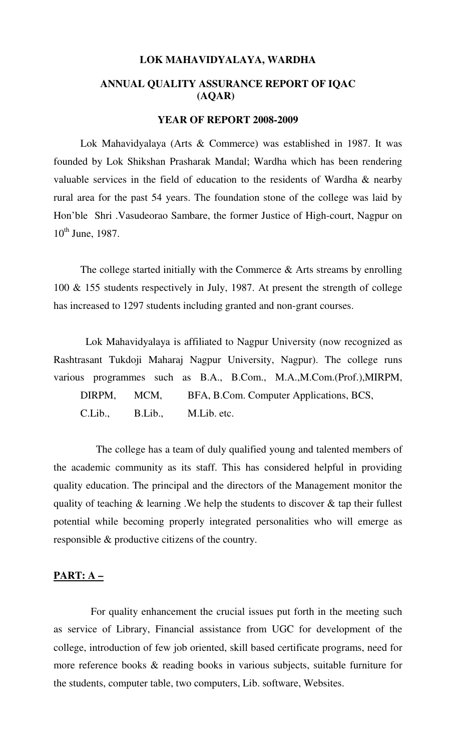#### **LOK MAHAVIDYALAYA, WARDHA**

## **ANNUAL QUALITY ASSURANCE REPORT OF IQAC (AQAR)**

#### **YEAR OF REPORT 2008-2009**

 Lok Mahavidyalaya (Arts & Commerce) was established in 1987. It was founded by Lok Shikshan Prasharak Mandal; Wardha which has been rendering valuable services in the field of education to the residents of Wardha & nearby rural area for the past 54 years. The foundation stone of the college was laid by Hon'ble Shri .Vasudeorao Sambare, the former Justice of High-court, Nagpur on  $10^{th}$  June, 1987.

The college started initially with the Commerce  $\&$  Arts streams by enrolling 100 & 155 students respectively in July, 1987. At present the strength of college has increased to 1297 students including granted and non-grant courses.

 Lok Mahavidyalaya is affiliated to Nagpur University (now recognized as Rashtrasant Tukdoji Maharaj Nagpur University, Nagpur). The college runs various programmes such as B.A., B.Com., M.A.,M.Com.(Prof.),MIRPM, DIRPM, MCM, BFA, B.Com. Computer Applications, BCS, C.Lib., B.Lib., M.Lib. etc.

 The college has a team of duly qualified young and talented members of the academic community as its staff. This has considered helpful in providing quality education. The principal and the directors of the Management monitor the quality of teaching & learning .We help the students to discover & tap their fullest potential while becoming properly integrated personalities who will emerge as responsible & productive citizens of the country.

#### **PART: A –**

 For quality enhancement the crucial issues put forth in the meeting such as service of Library, Financial assistance from UGC for development of the college, introduction of few job oriented, skill based certificate programs, need for more reference books & reading books in various subjects, suitable furniture for the students, computer table, two computers, Lib. software, Websites.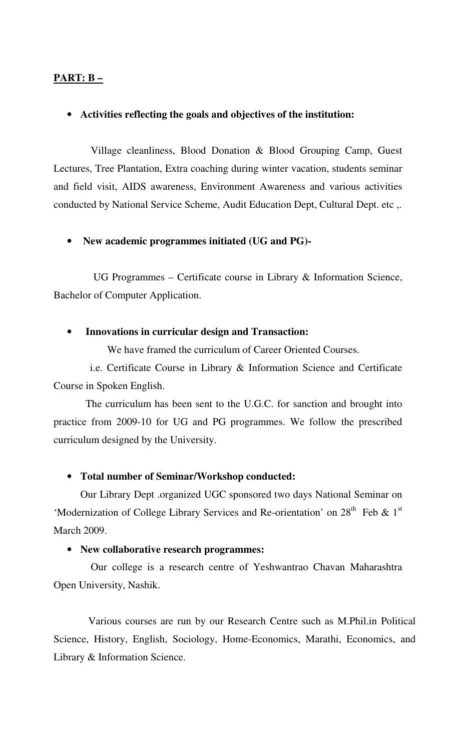## **PART: B –**

#### • **Activities reflecting the goals and objectives of the institution:**

 Village cleanliness, Blood Donation & Blood Grouping Camp, Guest Lectures, Tree Plantation, Extra coaching during winter vacation, students seminar and field visit, AIDS awareness, Environment Awareness and various activities conducted by National Service Scheme, Audit Education Dept, Cultural Dept. etc ,.

#### • **New academic programmes initiated (UG and PG)-**

 UG Programmes – Certificate course in Library & Information Science, Bachelor of Computer Application.

#### • **Innovations in curricular design and Transaction:**

We have framed the curriculum of Career Oriented Courses.

 i.e. Certificate Course in Library & Information Science and Certificate Course in Spoken English.

 The curriculum has been sent to the U.G.C. for sanction and brought into practice from 2009-10 for UG and PG programmes. We follow the prescribed curriculum designed by the University.

#### • **Total number of Seminar/Workshop conducted:**

 Our Library Dept .organized UGC sponsored two days National Seminar on 'Modernization of College Library Services and Re-orientation' on  $28<sup>th</sup>$  Feb & 1<sup>st</sup> March 2009.

#### • **New collaborative research programmes:**

 Our college is a research centre of Yeshwantrao Chavan Maharashtra Open University, Nashik.

 Various courses are run by our Research Centre such as M.Phil.in Political Science, History, English, Sociology, Home-Economics, Marathi, Economics, and Library & Information Science.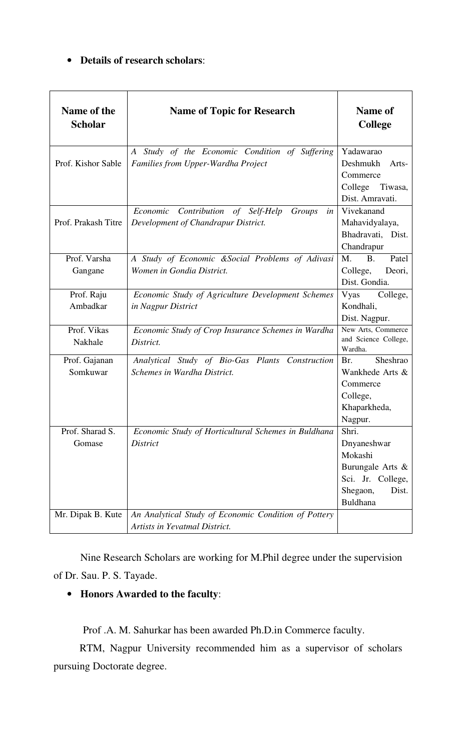## • **Details of research scholars**:

| Name of the<br><b>Scholar</b> | <b>Name of Topic for Research</b>                                                                        | <b>Name of</b><br><b>College</b>                                                                                 |
|-------------------------------|----------------------------------------------------------------------------------------------------------|------------------------------------------------------------------------------------------------------------------|
| Prof. Kishor Sable            | Study of the Economic Condition of<br><i>Suffering</i><br>$\bm{A}$<br>Families from Upper-Wardha Project | Yadawarao<br>Deshmukh<br>Arts-<br>Commerce<br>College<br>Tiwasa,<br>Dist. Amravati.                              |
| Prof. Prakash Titre           | Contribution of Self-Help<br>Economic<br>Groups<br>in<br>Development of Chandrapur District.             | Vivekanand<br>Mahavidyalaya,<br>Bhadravati, Dist.<br>Chandrapur                                                  |
| Prof. Varsha<br>Gangane       | A Study of Economic &Social Problems of Adivasi<br>Women in Gondia District.                             | M.<br>B <sub>1</sub><br>Patel<br>College,<br>Deori,<br>Dist. Gondia.                                             |
| Prof. Raju<br>Ambadkar        | Economic Study of Agriculture Development Schemes<br>in Nagpur District                                  | Vyas<br>College,<br>Kondhali,<br>Dist. Nagpur.                                                                   |
| Prof. Vikas<br>Nakhale        | Economic Study of Crop Insurance Schemes in Wardha<br>District.                                          | New Arts, Commerce<br>and Science College,<br>Wardha.                                                            |
| Prof. Gajanan<br>Somkuwar     | Analytical Study of Bio-Gas Plants Construction<br>Schemes in Wardha District.                           | Sheshrao<br>Br.<br>Wankhede Arts &<br>Commerce<br>College,<br>Khaparkheda,<br>Nagpur.                            |
| Prof. Sharad S.<br>Gomase     | Economic Study of Horticultural Schemes in Buldhana<br><b>District</b>                                   | Shri.<br>Dnyaneshwar<br>Mokashi<br>Burungale Arts &<br>Sci. Jr. College,<br>Shegaon,<br>Dist.<br><b>Buldhana</b> |
| Mr. Dipak B. Kute             | An Analytical Study of Economic Condition of Pottery<br>Artists in Yevatmal District.                    |                                                                                                                  |

Nine Research Scholars are working for M.Phil degree under the supervision of Dr. Sau. P. S. Tayade.

# • **Honors Awarded to the faculty**:

Prof .A. M. Sahurkar has been awarded Ph.D.in Commerce faculty.

 RTM, Nagpur University recommended him as a supervisor of scholars pursuing Doctorate degree.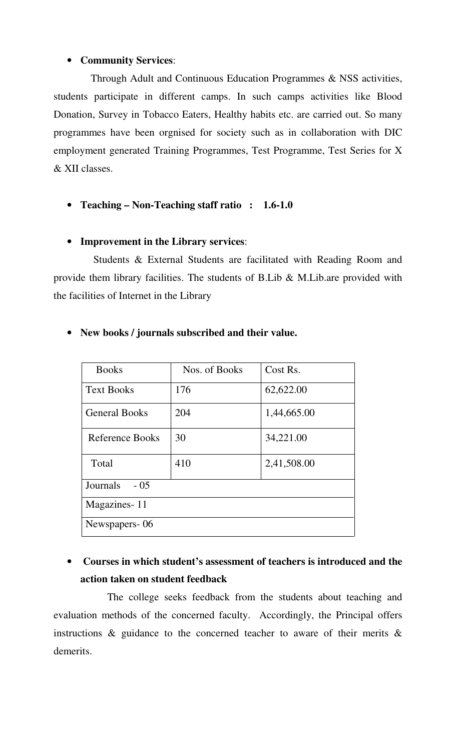## • **Community Services**:

 Through Adult and Continuous Education Programmes & NSS activities, students participate in different camps. In such camps activities like Blood Donation, Survey in Tobacco Eaters, Healthy habits etc. are carried out. So many programmes have been orgnised for society such as in collaboration with DIC employment generated Training Programmes, Test Programme, Test Series for X & XII classes.

• **Teaching – Non-Teaching staff ratio : 1.6-1.0** 

## • **Improvement in the Library services**:

 Students & External Students are facilitated with Reading Room and provide them library facilities. The students of B.Lib & M.Lib.are provided with the facilities of Internet in the Library

| <b>Books</b>         | Nos. of Books | Cost Rs.    |  |  |  |
|----------------------|---------------|-------------|--|--|--|
| <b>Text Books</b>    | 176           | 62,622.00   |  |  |  |
| <b>General Books</b> | 204           | 1,44,665.00 |  |  |  |
| Reference Books      | 30            | 34,221.00   |  |  |  |
| Total                | 410           | 2,41,508.00 |  |  |  |
| Journals<br>$-0.5$   |               |             |  |  |  |
| Magazines-11         |               |             |  |  |  |
| Newspapers-06        |               |             |  |  |  |

## • **New books / journals subscribed and their value.**

# • **Courses in which student's assessment of teachers is introduced and the action taken on student feedback**

 The college seeks feedback from the students about teaching and evaluation methods of the concerned faculty. Accordingly, the Principal offers instructions  $\&$  guidance to the concerned teacher to aware of their merits  $\&$ demerits.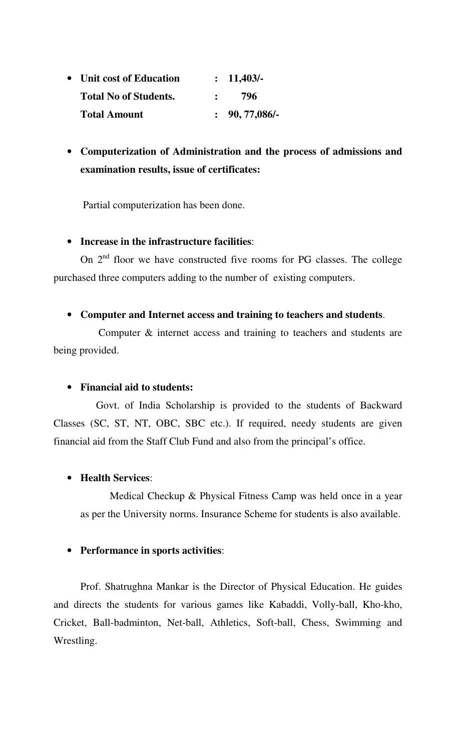| • Unit cost of Education     | : 11,403/        |
|------------------------------|------------------|
| <b>Total No of Students.</b> | 796              |
| <b>Total Amount</b>          | $: 90, 77,086$ . |

• **Computerization of Administration and the process of admissions and examination results, issue of certificates:** 

Partial computerization has been done.

## • **Increase in the infrastructure facilities**:

On  $2<sup>nd</sup>$  floor we have constructed five rooms for PG classes. The college purchased three computers adding to the number of existing computers.

### • **Computer and Internet access and training to teachers and students**.

 Computer & internet access and training to teachers and students are being provided.

### • **Financial aid to students:**

 Govt. of India Scholarship is provided to the students of Backward Classes (SC, ST, NT, OBC, SBC etc.). If required, needy students are given financial aid from the Staff Club Fund and also from the principal's office.

## • **Health Services**:

 Medical Checkup & Physical Fitness Camp was held once in a year as per the University norms. Insurance Scheme for students is also available.

### • **Performance in sports activities**:

 Prof. Shatrughna Mankar is the Director of Physical Education. He guides and directs the students for various games like Kabaddi, Volly-ball, Kho-kho, Cricket, Ball-badminton, Net-ball, Athletics, Soft-ball, Chess, Swimming and Wrestling.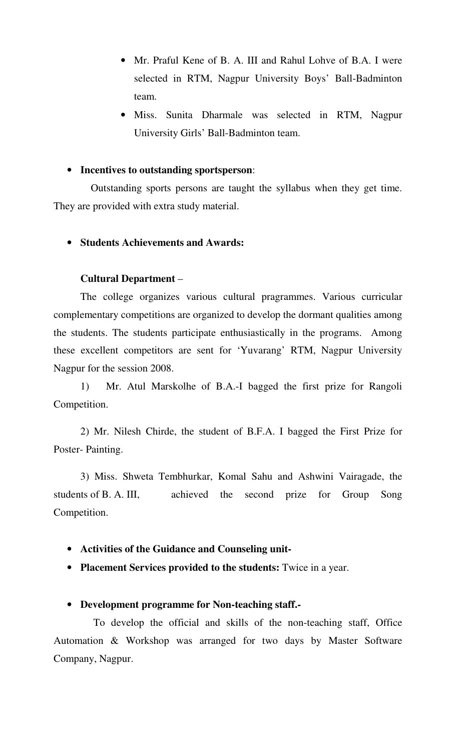- Mr. Praful Kene of B. A. III and Rahul Lohve of B.A. I were selected in RTM, Nagpur University Boys' Ball-Badminton team.
- Miss. Sunita Dharmale was selected in RTM, Nagpur University Girls' Ball-Badminton team.

#### • **Incentives to outstanding sportsperson**:

 Outstanding sports persons are taught the syllabus when they get time. They are provided with extra study material.

### • **Students Achievements and Awards:**

#### **Cultural Department** –

The college organizes various cultural pragrammes. Various curricular complementary competitions are organized to develop the dormant qualities among the students. The students participate enthusiastically in the programs. Among these excellent competitors are sent for 'Yuvarang' RTM, Nagpur University Nagpur for the session 2008.

1) Mr. Atul Marskolhe of B.A.-I bagged the first prize for Rangoli Competition.

 2) Mr. Nilesh Chirde, the student of B.F.A. I bagged the First Prize for Poster- Painting.

 3) Miss. Shweta Tembhurkar, Komal Sahu and Ashwini Vairagade, the students of B. A. III, achieved the second prize for Group Song Competition.

- **Activities of the Guidance and Counseling unit-**
- **Placement Services provided to the students:** Twice in a year.

### • **Development programme for Non-teaching staff.-**

 To develop the official and skills of the non-teaching staff, Office Automation & Workshop was arranged for two days by Master Software Company, Nagpur.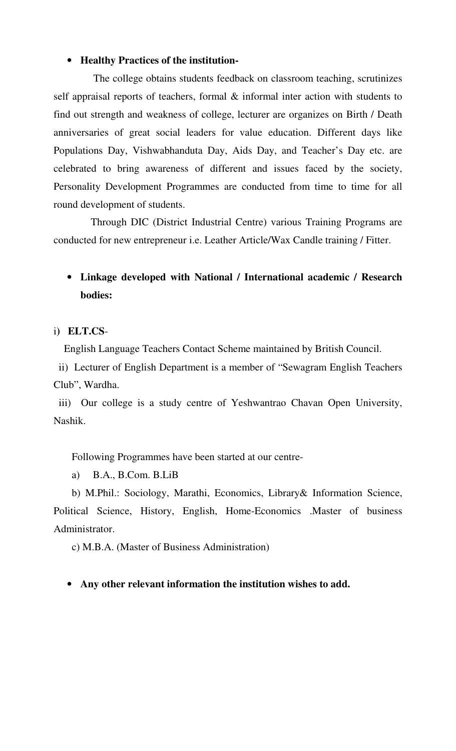#### • **Healthy Practices of the institution-**

 The college obtains students feedback on classroom teaching, scrutinizes self appraisal reports of teachers, formal & informal inter action with students to find out strength and weakness of college, lecturer are organizes on Birth / Death anniversaries of great social leaders for value education. Different days like Populations Day, Vishwabhanduta Day, Aids Day, and Teacher's Day etc. are celebrated to bring awareness of different and issues faced by the society, Personality Development Programmes are conducted from time to time for all round development of students.

 Through DIC (District Industrial Centre) various Training Programs are conducted for new entrepreneur i.e. Leather Article/Wax Candle training / Fitter.

# • **Linkage developed with National / International academic / Research bodies:**

i**) ELT.CS**-

English Language Teachers Contact Scheme maintained by British Council.

 ii) Lecturer of English Department is a member of "Sewagram English Teachers Club", Wardha.

 iii) Our college is a study centre of Yeshwantrao Chavan Open University, Nashik.

Following Programmes have been started at our centre-

a) B.A., B.Com. B.LiB

 b) M.Phil.: Sociology, Marathi, Economics, Library& Information Science, Political Science, History, English, Home-Economics .Master of business Administrator.

c) M.B.A. (Master of Business Administration)

#### • **Any other relevant information the institution wishes to add.**